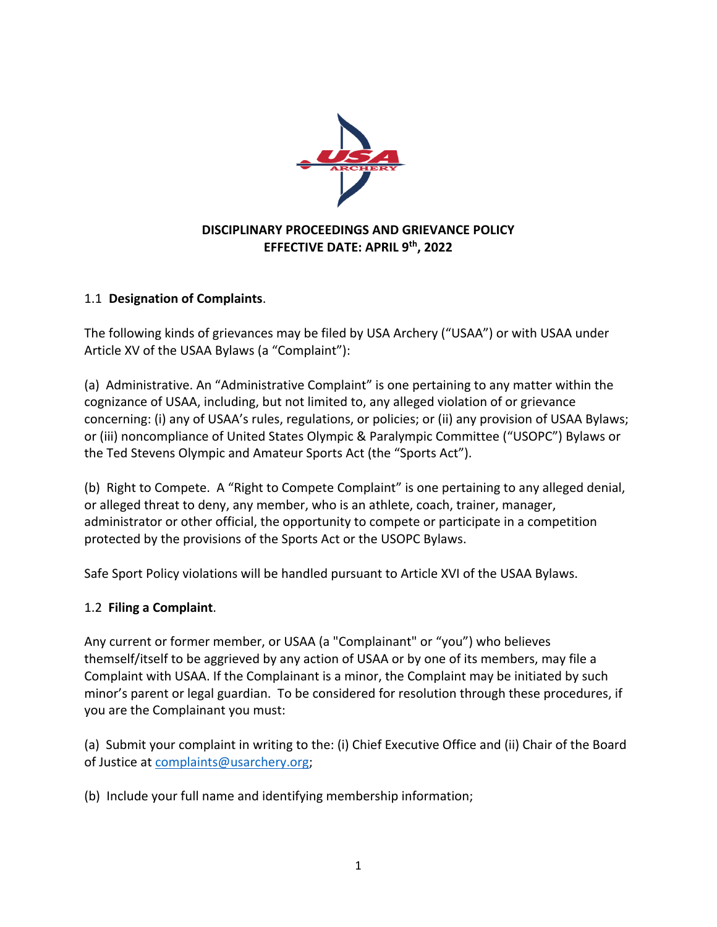

#### **DISCIPLINARY PROCEEDINGS AND GRIEVANCE POLICY EFFECTIVE DATE: APRIL 9th, 2022**

### 1.1 **Designation of Complaints**.

The following kinds of grievances may be filed by USA Archery ("USAA") or with USAA under Article XV of the USAA Bylaws (a "Complaint"):

(a) Administrative. An "Administrative Complaint" is one pertaining to any matter within the cognizance of USAA, including, but not limited to, any alleged violation of or grievance concerning: (i) any of USAA's rules, regulations, or policies; or (ii) any provision of USAA Bylaws; or (iii) noncompliance of United States Olympic & Paralympic Committee ("USOPC") Bylaws or the Ted Stevens Olympic and Amateur Sports Act (the "Sports Act").

(b) Right to Compete. A "Right to Compete Complaint" is one pertaining to any alleged denial, or alleged threat to deny, any member, who is an athlete, coach, trainer, manager, administrator or other official, the opportunity to compete or participate in a competition protected by the provisions of the Sports Act or the USOPC Bylaws.

Safe Sport Policy violations will be handled pursuant to Article XVI of the USAA Bylaws.

#### 1.2 **Filing a Complaint**.

Any current or former member, or USAA (a "Complainant" or "you") who believes themself/itself to be aggrieved by any action of USAA or by one of its members, may file a Complaint with USAA. If the Complainant is a minor, the Complaint may be initiated by such minor's parent or legal guardian. To be considered for resolution through these procedures, if you are the Complainant you must:

(a) Submit your complaint in writing to the: (i) Chief Executive Office and (ii) Chair of the Board of Justice at complaints@usarchery.org;

(b) Include your full name and identifying membership information;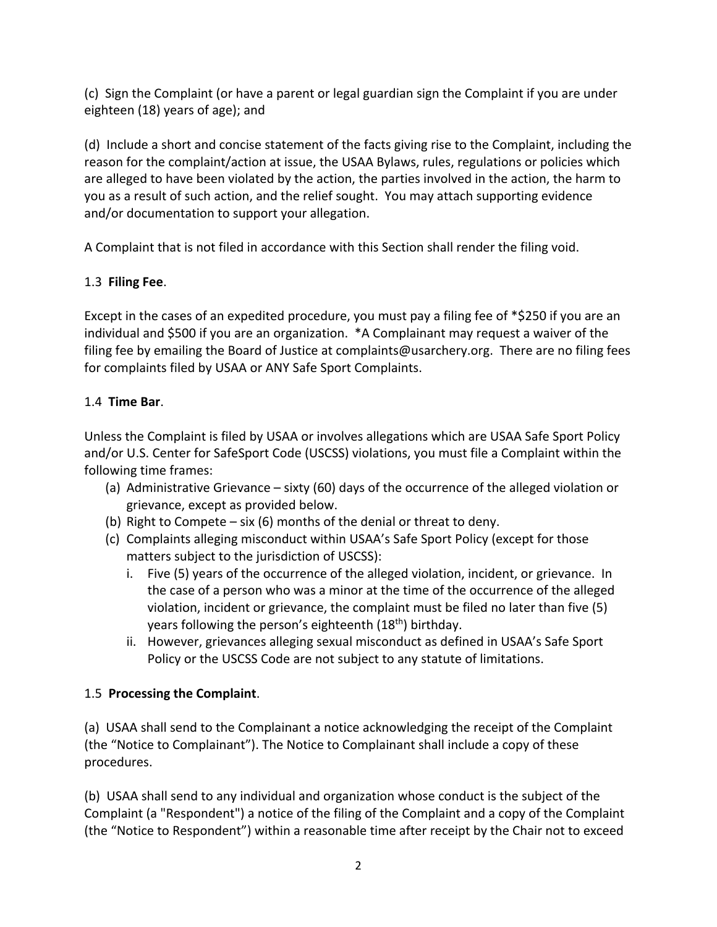(c) Sign the Complaint (or have a parent or legal guardian sign the Complaint if you are under eighteen (18) years of age); and

(d) Include a short and concise statement of the facts giving rise to the Complaint, including the reason for the complaint/action at issue, the USAA Bylaws, rules, regulations or policies which are alleged to have been violated by the action, the parties involved in the action, the harm to you as a result of such action, and the relief sought. You may attach supporting evidence and/or documentation to support your allegation.

A Complaint that is not filed in accordance with this Section shall render the filing void.

## 1.3 **Filing Fee**.

Except in the cases of an expedited procedure, you must pay a filing fee of \*\$250 if you are an individual and \$500 if you are an organization. \*A Complainant may request a waiver of the filing fee by emailing the Board of Justice at complaints@usarchery.org. There are no filing fees for complaints filed by USAA or ANY Safe Sport Complaints.

## 1.4 **Time Bar**.

Unless the Complaint is filed by USAA or involves allegations which are USAA Safe Sport Policy and/or U.S. Center for SafeSport Code (USCSS) violations, you must file a Complaint within the following time frames:

- (a) Administrative Grievance sixty (60) days of the occurrence of the alleged violation or grievance, except as provided below.
- (b) Right to Compete six (6) months of the denial or threat to deny.
- (c) Complaints alleging misconduct within USAA's Safe Sport Policy (except for those matters subject to the jurisdiction of USCSS):
	- i. Five (5) years of the occurrence of the alleged violation, incident, or grievance. In the case of a person who was a minor at the time of the occurrence of the alleged violation, incident or grievance, the complaint must be filed no later than five (5) years following the person's eighteenth (18<sup>th</sup>) birthday.
	- ii. However, grievances alleging sexual misconduct as defined in USAA's Safe Sport Policy or the USCSS Code are not subject to any statute of limitations.

## 1.5 **Processing the Complaint**.

(a) USAA shall send to the Complainant a notice acknowledging the receipt of the Complaint (the "Notice to Complainant"). The Notice to Complainant shall include a copy of these procedures.

(b) USAA shall send to any individual and organization whose conduct is the subject of the Complaint (a "Respondent") a notice of the filing of the Complaint and a copy of the Complaint (the "Notice to Respondent") within a reasonable time after receipt by the Chair not to exceed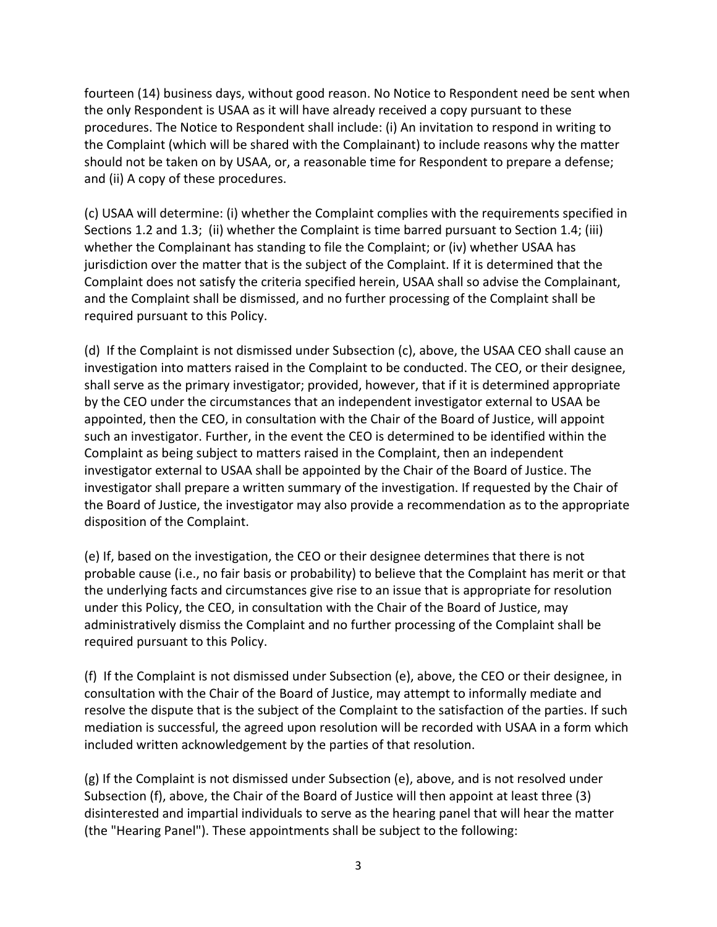fourteen (14) business days, without good reason. No Notice to Respondent need be sent when the only Respondent is USAA as it will have already received a copy pursuant to these procedures. The Notice to Respondent shall include: (i) An invitation to respond in writing to the Complaint (which will be shared with the Complainant) to include reasons why the matter should not be taken on by USAA, or, a reasonable time for Respondent to prepare a defense; and (ii) A copy of these procedures.

(c) USAA will determine: (i) whether the Complaint complies with the requirements specified in Sections 1.2 and 1.3; (ii) whether the Complaint is time barred pursuant to Section 1.4; (iii) whether the Complainant has standing to file the Complaint; or (iv) whether USAA has jurisdiction over the matter that is the subject of the Complaint. If it is determined that the Complaint does not satisfy the criteria specified herein, USAA shall so advise the Complainant, and the Complaint shall be dismissed, and no further processing of the Complaint shall be required pursuant to this Policy.

(d) If the Complaint is not dismissed under Subsection (c), above, the USAA CEO shall cause an investigation into matters raised in the Complaint to be conducted. The CEO, or their designee, shall serve as the primary investigator; provided, however, that if it is determined appropriate by the CEO under the circumstances that an independent investigator external to USAA be appointed, then the CEO, in consultation with the Chair of the Board of Justice, will appoint such an investigator. Further, in the event the CEO is determined to be identified within the Complaint as being subject to matters raised in the Complaint, then an independent investigator external to USAA shall be appointed by the Chair of the Board of Justice. The investigator shall prepare a written summary of the investigation. If requested by the Chair of the Board of Justice, the investigator may also provide a recommendation as to the appropriate disposition of the Complaint.

(e) If, based on the investigation, the CEO or their designee determines that there is not probable cause (i.e., no fair basis or probability) to believe that the Complaint has merit or that the underlying facts and circumstances give rise to an issue that is appropriate for resolution under this Policy, the CEO, in consultation with the Chair of the Board of Justice, may administratively dismiss the Complaint and no further processing of the Complaint shall be required pursuant to this Policy.

(f) If the Complaint is not dismissed under Subsection (e), above, the CEO or their designee, in consultation with the Chair of the Board of Justice, may attempt to informally mediate and resolve the dispute that is the subject of the Complaint to the satisfaction of the parties. If such mediation is successful, the agreed upon resolution will be recorded with USAA in a form which included written acknowledgement by the parties of that resolution.

(g) If the Complaint is not dismissed under Subsection (e), above, and is not resolved under Subsection (f), above, the Chair of the Board of Justice will then appoint at least three (3) disinterested and impartial individuals to serve as the hearing panel that will hear the matter (the "Hearing Panel"). These appointments shall be subject to the following: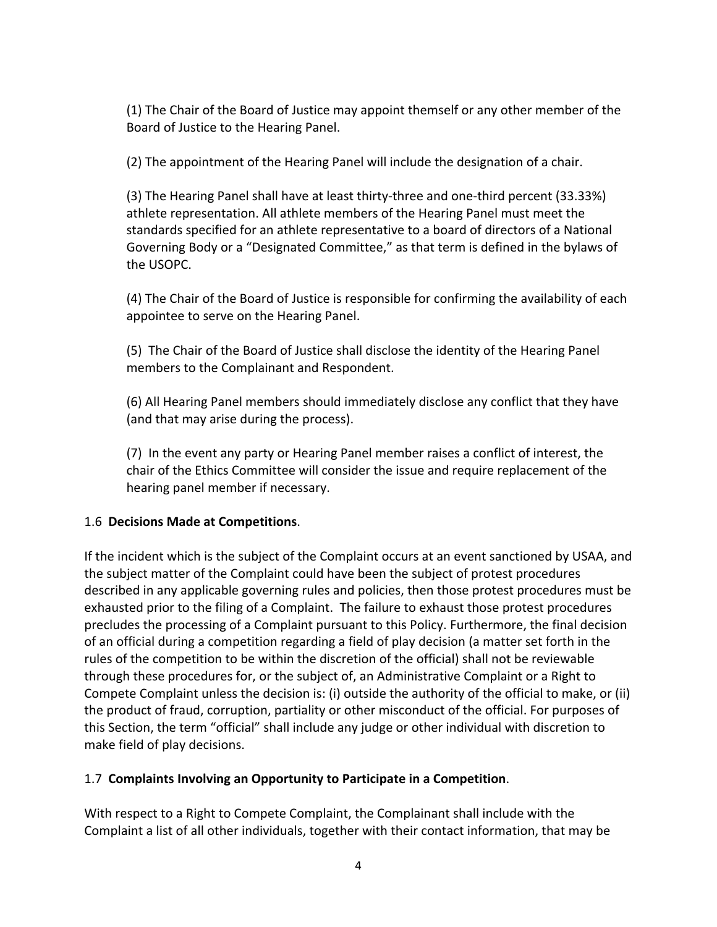(1) The Chair of the Board of Justice may appoint themself or any other member of the Board of Justice to the Hearing Panel.

(2) The appointment of the Hearing Panel will include the designation of a chair.

(3) The Hearing Panel shall have at least thirty-three and one-third percent (33.33%) athlete representation. All athlete members of the Hearing Panel must meet the standards specified for an athlete representative to a board of directors of a National Governing Body or a "Designated Committee," as that term is defined in the bylaws of the USOPC.

(4) The Chair of the Board of Justice is responsible for confirming the availability of each appointee to serve on the Hearing Panel.

(5) The Chair of the Board of Justice shall disclose the identity of the Hearing Panel members to the Complainant and Respondent.

(6) All Hearing Panel members should immediately disclose any conflict that they have (and that may arise during the process).

(7) In the event any party or Hearing Panel member raises a conflict of interest, the chair of the Ethics Committee will consider the issue and require replacement of the hearing panel member if necessary.

#### 1.6 **Decisions Made at Competitions**.

If the incident which is the subject of the Complaint occurs at an event sanctioned by USAA, and the subject matter of the Complaint could have been the subject of protest procedures described in any applicable governing rules and policies, then those protest procedures must be exhausted prior to the filing of a Complaint. The failure to exhaust those protest procedures precludes the processing of a Complaint pursuant to this Policy. Furthermore, the final decision of an official during a competition regarding a field of play decision (a matter set forth in the rules of the competition to be within the discretion of the official) shall not be reviewable through these procedures for, or the subject of, an Administrative Complaint or a Right to Compete Complaint unless the decision is: (i) outside the authority of the official to make, or (ii) the product of fraud, corruption, partiality or other misconduct of the official. For purposes of this Section, the term "official" shall include any judge or other individual with discretion to make field of play decisions.

#### 1.7 **Complaints Involving an Opportunity to Participate in a Competition**.

With respect to a Right to Compete Complaint, the Complainant shall include with the Complaint a list of all other individuals, together with their contact information, that may be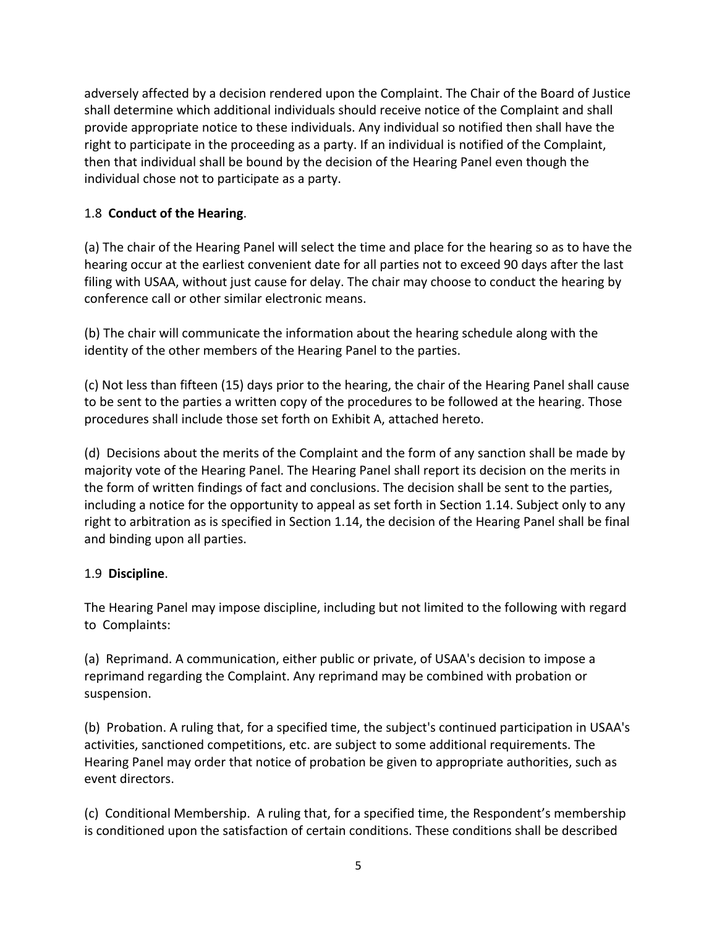adversely affected by a decision rendered upon the Complaint. The Chair of the Board of Justice shall determine which additional individuals should receive notice of the Complaint and shall provide appropriate notice to these individuals. Any individual so notified then shall have the right to participate in the proceeding as a party. If an individual is notified of the Complaint, then that individual shall be bound by the decision of the Hearing Panel even though the individual chose not to participate as a party.

## 1.8 **Conduct of the Hearing**.

(a) The chair of the Hearing Panel will select the time and place for the hearing so as to have the hearing occur at the earliest convenient date for all parties not to exceed 90 days after the last filing with USAA, without just cause for delay. The chair may choose to conduct the hearing by conference call or other similar electronic means.

(b) The chair will communicate the information about the hearing schedule along with the identity of the other members of the Hearing Panel to the parties.

(c) Not less than fifteen (15) days prior to the hearing, the chair of the Hearing Panel shall cause to be sent to the parties a written copy of the procedures to be followed at the hearing. Those procedures shall include those set forth on Exhibit A, attached hereto.

(d) Decisions about the merits of the Complaint and the form of any sanction shall be made by majority vote of the Hearing Panel. The Hearing Panel shall report its decision on the merits in the form of written findings of fact and conclusions. The decision shall be sent to the parties, including a notice for the opportunity to appeal as set forth in Section 1.14. Subject only to any right to arbitration as is specified in Section 1.14, the decision of the Hearing Panel shall be final and binding upon all parties.

#### 1.9 **Discipline**.

The Hearing Panel may impose discipline, including but not limited to the following with regard to Complaints:

(a) Reprimand. A communication, either public or private, of USAA's decision to impose a reprimand regarding the Complaint. Any reprimand may be combined with probation or suspension.

(b) Probation. A ruling that, for a specified time, the subject's continued participation in USAA's activities, sanctioned competitions, etc. are subject to some additional requirements. The Hearing Panel may order that notice of probation be given to appropriate authorities, such as event directors.

(c) Conditional Membership. A ruling that, for a specified time, the Respondent's membership is conditioned upon the satisfaction of certain conditions. These conditions shall be described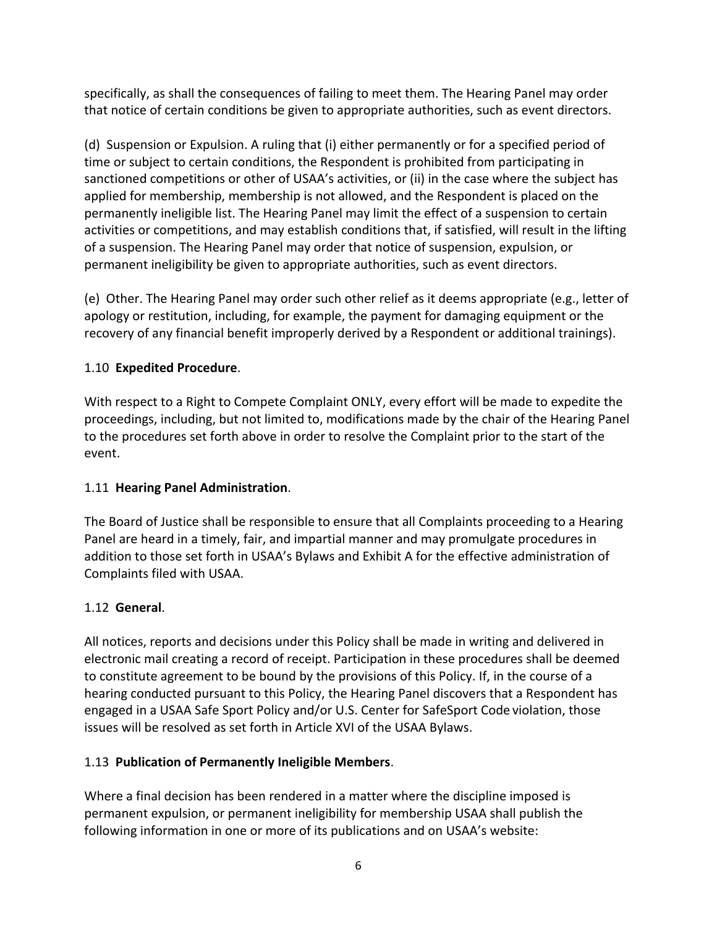specifically, as shall the consequences of failing to meet them. The Hearing Panel may order that notice of certain conditions be given to appropriate authorities, such as event directors.

(d) Suspension or Expulsion. A ruling that (i) either permanently or for a specified period of time or subject to certain conditions, the Respondent is prohibited from participating in sanctioned competitions or other of USAA's activities, or (ii) in the case where the subject has applied for membership, membership is not allowed, and the Respondent is placed on the permanently ineligible list. The Hearing Panel may limit the effect of a suspension to certain activities or competitions, and may establish conditions that, if satisfied, will result in the lifting of a suspension. The Hearing Panel may order that notice of suspension, expulsion, or permanent ineligibility be given to appropriate authorities, such as event directors.

(e) Other. The Hearing Panel may order such other relief as it deems appropriate (e.g., letter of apology or restitution, including, for example, the payment for damaging equipment or the recovery of any financial benefit improperly derived by a Respondent or additional trainings).

### 1.10 **Expedited Procedure**.

With respect to a Right to Compete Complaint ONLY, every effort will be made to expedite the proceedings, including, but not limited to, modifications made by the chair of the Hearing Panel to the procedures set forth above in order to resolve the Complaint prior to the start of the event.

#### 1.11 **Hearing Panel Administration**.

The Board of Justice shall be responsible to ensure that all Complaints proceeding to a Hearing Panel are heard in a timely, fair, and impartial manner and may promulgate procedures in addition to those set forth in USAA's Bylaws and Exhibit A for the effective administration of Complaints filed with USAA.

#### 1.12 **General**.

All notices, reports and decisions under this Policy shall be made in writing and delivered in electronic mail creating a record of receipt. Participation in these procedures shall be deemed to constitute agreement to be bound by the provisions of this Policy. If, in the course of a hearing conducted pursuant to this Policy, the Hearing Panel discovers that a Respondent has engaged in a USAA Safe Sport Policy and/or U.S. Center for SafeSport Code violation, those issues will be resolved as set forth in Article XVI of the USAA Bylaws.

#### 1.13 **Publication of Permanently Ineligible Members**.

Where a final decision has been rendered in a matter where the discipline imposed is permanent expulsion, or permanent ineligibility for membership USAA shall publish the following information in one or more of its publications and on USAA's website: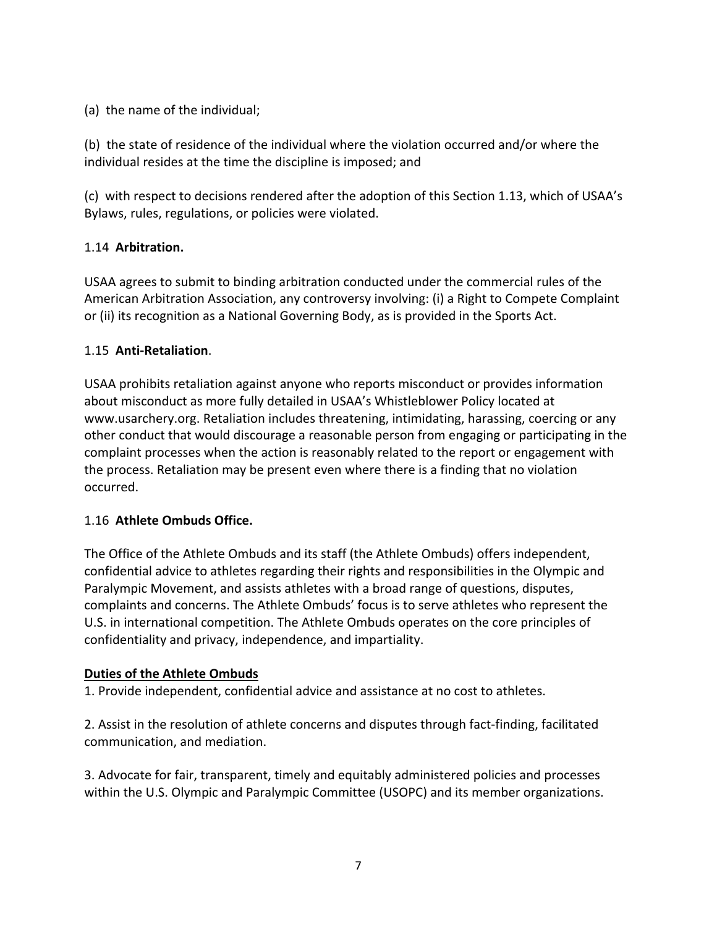(a) the name of the individual;

(b) the state of residence of the individual where the violation occurred and/or where the individual resides at the time the discipline is imposed; and

(c) with respect to decisions rendered after the adoption of this Section 1.13, which of USAA's Bylaws, rules, regulations, or policies were violated.

### 1.14 **Arbitration.**

USAA agrees to submit to binding arbitration conducted under the commercial rules of the American Arbitration Association, any controversy involving: (i) a Right to Compete Complaint or (ii) its recognition as a National Governing Body, as is provided in the Sports Act.

### 1.15 **Anti-Retaliation**.

USAA prohibits retaliation against anyone who reports misconduct or provides information about misconduct as more fully detailed in USAA's Whistleblower Policy located at www.usarchery.org. Retaliation includes threatening, intimidating, harassing, coercing or any other conduct that would discourage a reasonable person from engaging or participating in the complaint processes when the action is reasonably related to the report or engagement with the process. Retaliation may be present even where there is a finding that no violation occurred.

#### 1.16 **Athlete Ombuds Office.**

The Office of the Athlete Ombuds and its staff (the Athlete Ombuds) offers independent, confidential advice to athletes regarding their rights and responsibilities in the Olympic and Paralympic Movement, and assists athletes with a broad range of questions, disputes, complaints and concerns. The Athlete Ombuds' focus is to serve athletes who represent the U.S. in international competition. The Athlete Ombuds operates on the core principles of confidentiality and privacy, independence, and impartiality.

#### **Duties of the Athlete Ombuds**

1. Provide independent, confidential advice and assistance at no cost to athletes.

2. Assist in the resolution of athlete concerns and disputes through fact-finding, facilitated communication, and mediation.

3. Advocate for fair, transparent, timely and equitably administered policies and processes within the U.S. Olympic and Paralympic Committee (USOPC) and its member organizations.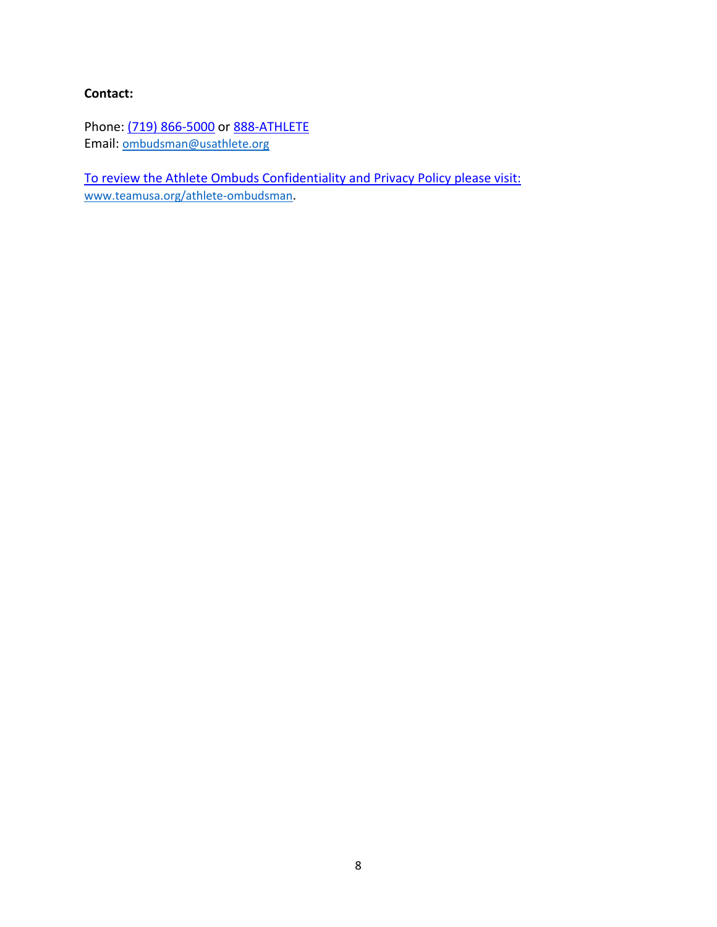### **Contact:**

Phone: (719) 866-5000 or 888-ATHLETE Email: ombudsman@usathlete.org

To review the Athlete Ombuds Confidentiality and Privacy Policy please visit: www.teamusa.org/athlete-ombudsman.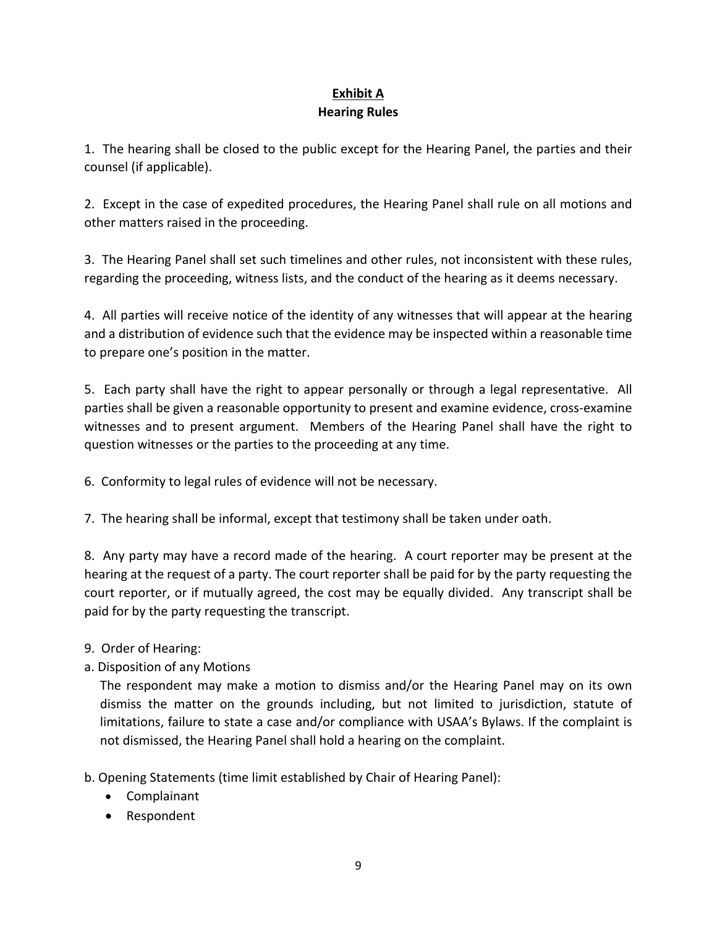## **Exhibit A Hearing Rules**

1. The hearing shall be closed to the public except for the Hearing Panel, the parties and their counsel (if applicable).

2. Except in the case of expedited procedures, the Hearing Panel shall rule on all motions and other matters raised in the proceeding.

3. The Hearing Panel shall set such timelines and other rules, not inconsistent with these rules, regarding the proceeding, witness lists, and the conduct of the hearing as it deems necessary.

4. All parties will receive notice of the identity of any witnesses that will appear at the hearing and a distribution of evidence such that the evidence may be inspected within a reasonable time to prepare one's position in the matter.

5. Each party shall have the right to appear personally or through a legal representative. All parties shall be given a reasonable opportunity to present and examine evidence, cross-examine witnesses and to present argument. Members of the Hearing Panel shall have the right to question witnesses or the parties to the proceeding at any time.

6. Conformity to legal rules of evidence will not be necessary.

7. The hearing shall be informal, except that testimony shall be taken under oath.

8. Any party may have a record made of the hearing. A court reporter may be present at the hearing at the request of a party. The court reporter shall be paid for by the party requesting the court reporter, or if mutually agreed, the cost may be equally divided. Any transcript shall be paid for by the party requesting the transcript.

- 9. Order of Hearing:
- a. Disposition of any Motions

The respondent may make a motion to dismiss and/or the Hearing Panel may on its own dismiss the matter on the grounds including, but not limited to jurisdiction, statute of limitations, failure to state a case and/or compliance with USAA's Bylaws. If the complaint is not dismissed, the Hearing Panel shall hold a hearing on the complaint.

b. Opening Statements (time limit established by Chair of Hearing Panel):

- Complainant
- Respondent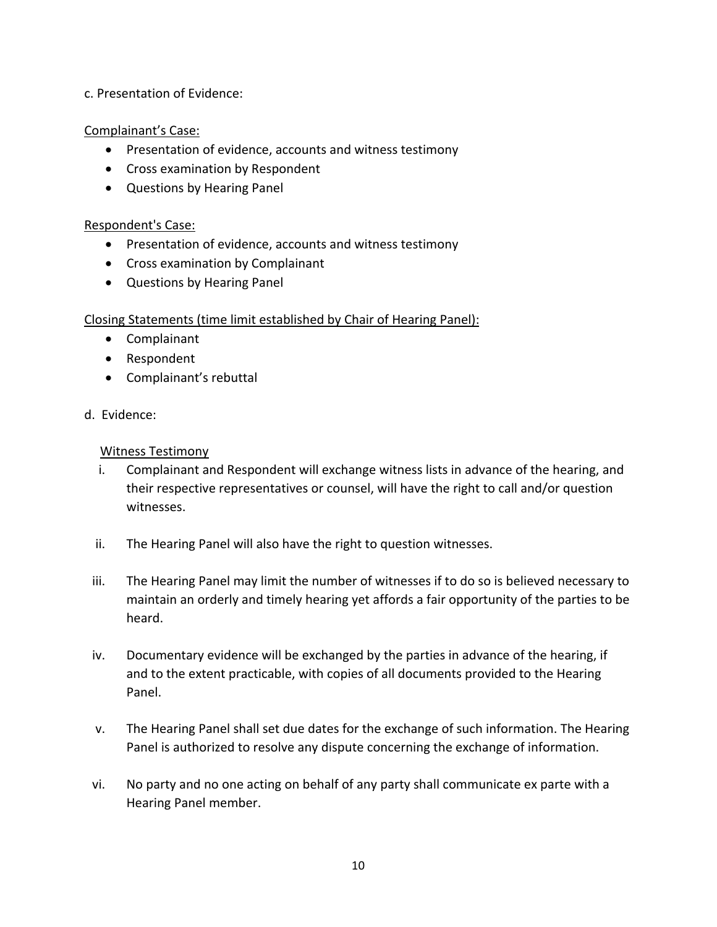c. Presentation of Evidence:

Complainant's Case:

- Presentation of evidence, accounts and witness testimony
- Cross examination by Respondent
- Questions by Hearing Panel

#### Respondent's Case:

- Presentation of evidence, accounts and witness testimony
- Cross examination by Complainant
- Questions by Hearing Panel

#### Closing Statements (time limit established by Chair of Hearing Panel):

- Complainant
- Respondent
- Complainant's rebuttal
- d. Evidence:

#### Witness Testimony

- i. Complainant and Respondent will exchange witness lists in advance of the hearing, and their respective representatives or counsel, will have the right to call and/or question witnesses.
- ii. The Hearing Panel will also have the right to question witnesses.
- iii. The Hearing Panel may limit the number of witnesses if to do so is believed necessary to maintain an orderly and timely hearing yet affords a fair opportunity of the parties to be heard.
- iv. Documentary evidence will be exchanged by the parties in advance of the hearing, if and to the extent practicable, with copies of all documents provided to the Hearing Panel.
- v. The Hearing Panel shall set due dates for the exchange of such information. The Hearing Panel is authorized to resolve any dispute concerning the exchange of information.
- vi. No party and no one acting on behalf of any party shall communicate ex parte with a Hearing Panel member.